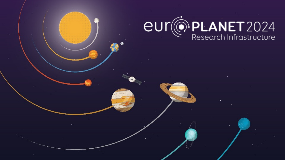# eur en PLANET 2024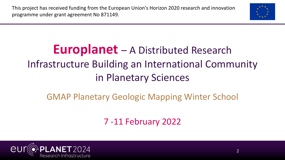This project has received funding from the European Union's Horizon 2020 research and innovation programme under grant agreement No 871149.



#### **Europlanet** – A Distributed Research Infrastructure Building an International Community in Planetary Sciences

#### GMAP Planetary Geologic Mapping Winter School

7 -11 February 2022

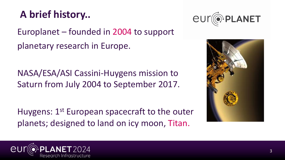#### **A brief history..**

Europlanet – founded in 2004 to support planetary research in Europe.

NASA/ESA/ASI Cassini-Huygens mission to Saturn from July 2004 to September 2017.

Huygens: 1<sup>st</sup> European spacecraft to the outer planets; designed to land on icy moon, Titan.





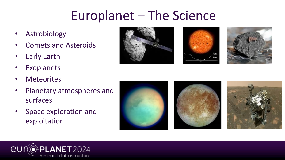- **Astrobiology**
- Comets and Asteroids
- **Early Earth**
- **Exoplanets**
- **Meteorites**
- Planetary atmospheres and surfaces
- Space exploration and exploitation









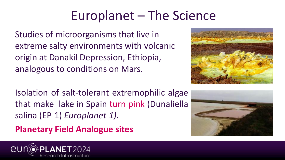Studies of microorganisms that live in extreme salty environments with volcanic origin at Danakil Depression, Ethiopia, analogous to conditions on Mars.

Isolation of salt-tolerant extremophilic algae that make lake in Spain turn pink (Dunaliella salina (EP-1) *Europlanet-1).*

**Planetary Field Analogue sites**





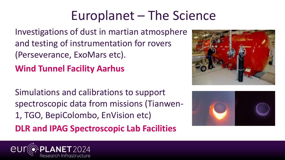Investigations of dust in martian atmosphere and testing of instrumentation for rovers (Perseverance, ExoMars etc).

**Wind Tunnel Facility Aarhus**

Simulations and calibrations to support spectroscopic data from missions (Tianwen-1, TGO, BepiColombo, EnVision etc) **DLR and IPAG Spectroscopic Lab Facilities**





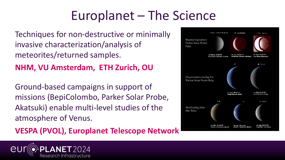Techniques for non-destructive or minimally invasive characterization/analysis of meteorites/returned samples.

**NHM, VU Amsterdam, ETH Zurich, OU**

Ground-based campaigns in support of missions (BepiColombo, Parker Solar Probe, Akatsuki) enable multi-level studies of the atmosphere of Venus.

**VESPA (PVOL), Europlanet Telescope Network**

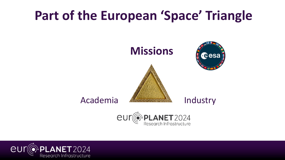#### **Part of the European 'Space' Triangle**



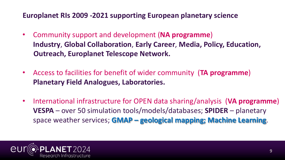#### **Europlanet RIs 2009 -2021 supporting European planetary science**

- Community support and development (**NA programme**) **Industry**, **Global Collaboration**, **Early Career**, **Media, Policy, Education, Outreach, Europlanet Telescope Network.**
- Access to facilities for benefit of wider community (**TA programme**) **Planetary Field Analogues, Laboratories.**
- International infrastructure for OPEN data sharing/analysis (**VA programme**) **VESPA** – over 50 simulation tools/models/databases; **SPIDER** – planetary space weather services; **GMAP – geological mapping; Machine Learning**.

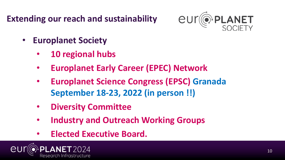**Extending our reach and sustainability** 



- **Europlanet Society**
	- **10 regional hubs**
	- **Europlanet Early Career (EPEC) Network**
	- **Europlanet Science Congress (EPSC) Granada September 18-23, 2022 (in person !!)**
	- **Diversity Committee**
	- **Industry and Outreach Working Groups**
	- **Elected Executive Board.**

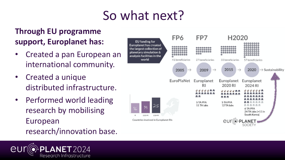### So what next?

#### **Through EU programme support, Europlanet has:**

- Created a pan European an international community.
- Created a unique distributed infrastructure.
- Performed world leading research by mobilising European research/innovation base.



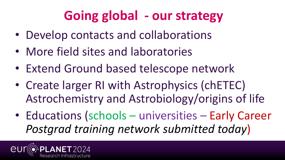## **Going global - our strategy**

- Develop contacts and collaborations
- More field sites and laboratories
- Extend Ground based telescope network
- Create larger RI with Astrophysics (chETEC) Astrochemistry and Astrobiology/origins of life
- Educations (schools universities Early Career *Postgrad training network submitted today*)